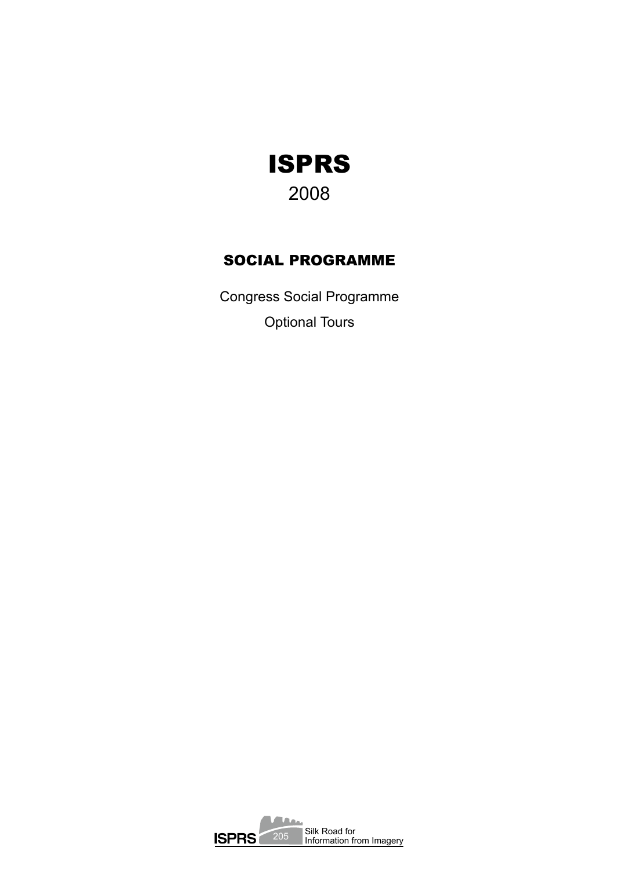

### SOCIAL PROGRAMME

Congress Social Programme Optional Tours